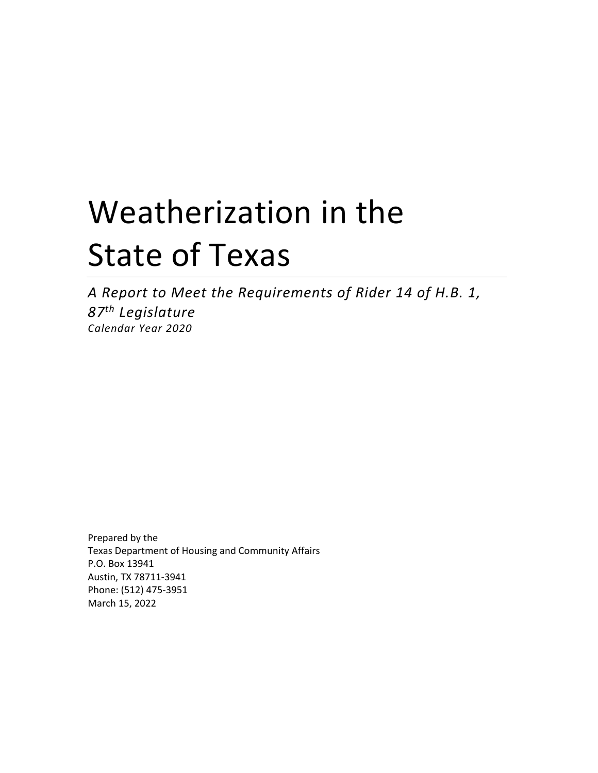# Weatherization in the State of Texas

*A Report to Meet the Requirements of Rider 14 of H.B. 1, 87th Legislature Calendar Year 2020*

Prepared by the Texas Department of Housing and Community Affairs P.O. Box 13941 Austin, TX 78711-3941 Phone: (512) 475-3951 March 15, 2022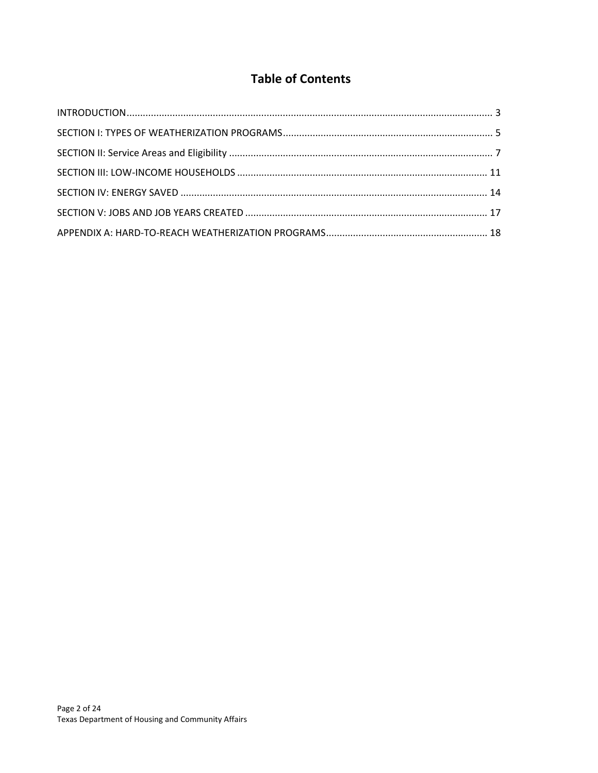# **Table of Contents**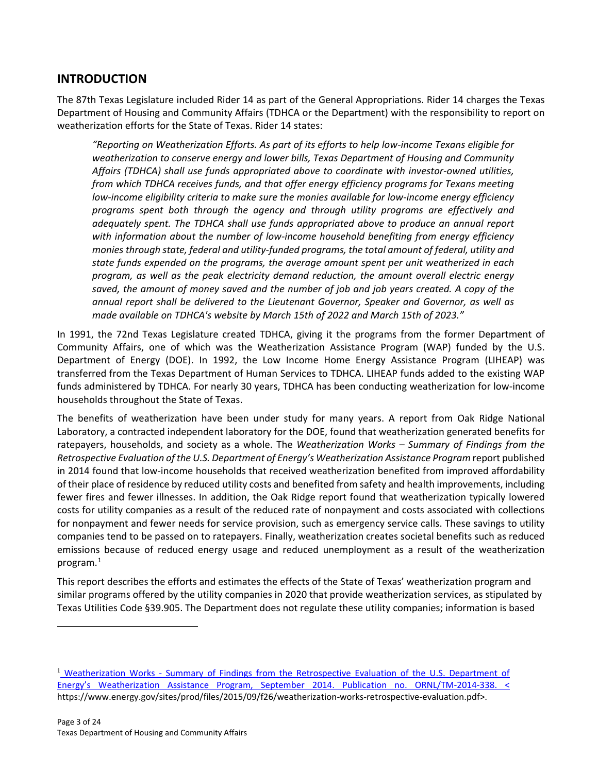# <span id="page-2-0"></span>**INTRODUCTION**

The 87th Texas Legislature included Rider 14 as part of the General Appropriations. Rider 14 charges the Texas Department of Housing and Community Affairs (TDHCA or the Department) with the responsibility to report on weatherization efforts for the State of Texas. Rider 14 states:

*"Reporting on Weatherization Efforts. As part of its efforts to help low-income Texans eligible for weatherization to conserve energy and lower bills, Texas Department of Housing and Community Affairs (TDHCA) shall use funds appropriated above to coordinate with investor-owned utilities, from which TDHCA receives funds, and that offer energy efficiency programs for Texans meeting low-income eligibility criteria to make sure the monies available for low-income energy efficiency programs spent both through the agency and through utility programs are effectively and adequately spent. The TDHCA shall use funds appropriated above to produce an annual report with information about the number of low-income household benefiting from energy efficiency monies through state, federal and utility-funded programs, the total amount of federal, utility and state funds expended on the programs, the average amount spent per unit weatherized in each program, as well as the peak electricity demand reduction, the amount overall electric energy saved, the amount of money saved and the number of job and job years created. A copy of the annual report shall be delivered to the Lieutenant Governor, Speaker and Governor, as well as made available on TDHCA's website by March 15th of 2022 and March 15th of 2023."*

In 1991, the 72nd Texas Legislature created TDHCA, giving it the programs from the former Department of Community Affairs, one of which was the Weatherization Assistance Program (WAP) funded by the U.S. Department of Energy (DOE). In 1992, the Low Income Home Energy Assistance Program (LIHEAP) was transferred from the Texas Department of Human Services to TDHCA. LIHEAP funds added to the existing WAP funds administered by TDHCA. For nearly 30 years, TDHCA has been conducting weatherization for low-income households throughout the State of Texas.

The benefits of weatherization have been under study for many years. A report from Oak Ridge National Laboratory, a contracted independent laboratory for the DOE, found that weatherization generated benefits for ratepayers, households, and society as a whole. The *Weatherization Works – Summary of Findings from the Retrospective Evaluation of the U.S. Department of Energy's Weatherization Assistance Program* report published in 2014 found that low-income households that received weatherization benefited from improved affordability of their place of residence by reduced utility costs and benefited from safety and health improvements, including fewer fires and fewer illnesses. In addition, the Oak Ridge report found that weatherization typically lowered costs for utility companies as a result of the reduced rate of nonpayment and costs associated with collections for nonpayment and fewer needs for service provision, such as emergency service calls. These savings to utility companies tend to be passed on to ratepayers. Finally, weatherization creates societal benefits such as reduced emissions because of reduced energy usage and reduced unemployment as a result of the weatherization program.[1](#page-2-1)

This report describes the efforts and estimates the effects of the State of Texas' weatherization program and similar programs offered by the utility companies in 2020 that provide weatherization services, as stipulated by Texas Utilities Code §39.905. The Department does not regulate these utility companies; information is based

 $\overline{a}$ 

<span id="page-2-1"></span><sup>&</sup>lt;sup>1</sup> Weatherization Works - Summary of Findings from the Retrospective Evaluation of the U.S. Department of Energy's Weatherization Assistance Program, September 2014. Publication no. ORNL/TM-2014-338. < https://www.energy.gov/sites/prod/files/2015/09/f26/weatherization-works-retrospective-evaluation.pdf>.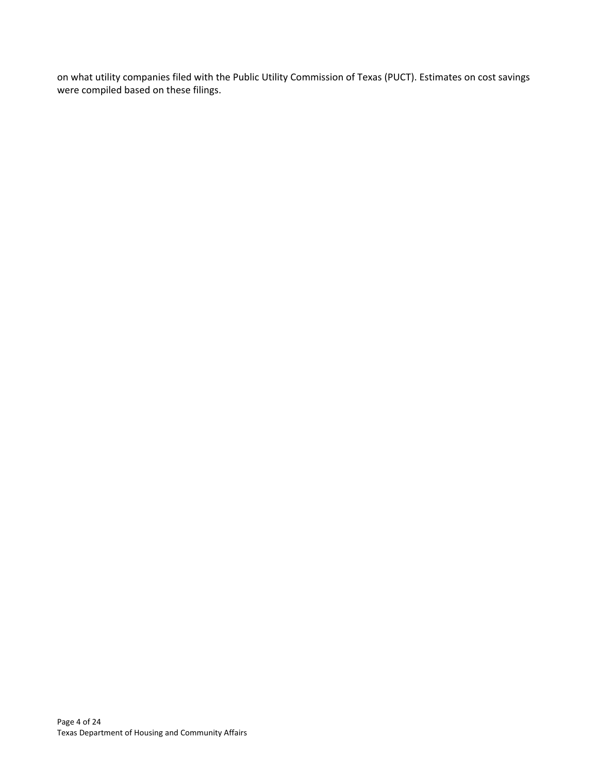on what utility companies filed with the Public Utility Commission of Texas (PUCT). Estimates on cost savings were compiled based on these filings.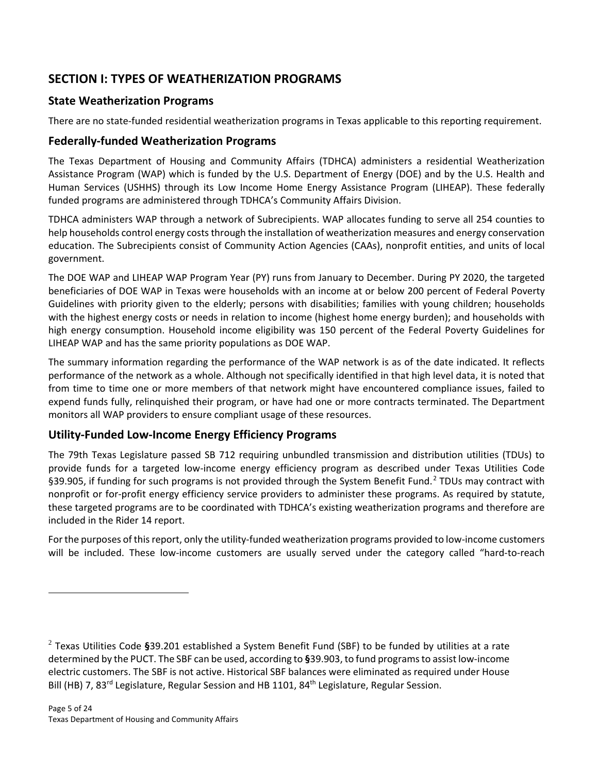# <span id="page-4-0"></span>**SECTION I: TYPES OF WEATHERIZATION PROGRAMS**

# **State Weatherization Programs**

There are no state-funded residential weatherization programs in Texas applicable to this reporting requirement.

## **Federally-funded Weatherization Programs**

The Texas Department of Housing and Community Affairs (TDHCA) administers a residential Weatherization Assistance Program (WAP) which is funded by the U.S. Department of Energy (DOE) and by the U.S. Health and Human Services (USHHS) through its Low Income Home Energy Assistance Program (LIHEAP). These federally funded programs are administered through TDHCA's Community Affairs Division.

TDHCA administers WAP through a network of Subrecipients. WAP allocates funding to serve all 254 counties to help households control energy costs through the installation of weatherization measures and energy conservation education. The Subrecipients consist of Community Action Agencies (CAAs), nonprofit entities, and units of local government.

The DOE WAP and LIHEAP WAP Program Year (PY) runs from January to December. During PY 2020, the targeted beneficiaries of DOE WAP in Texas were households with an income at or below 200 percent of Federal Poverty Guidelines with priority given to the elderly; persons with disabilities; families with young children; households with the highest energy costs or needs in relation to income (highest home energy burden); and households with high energy consumption. Household income eligibility was 150 percent of the Federal Poverty Guidelines for LIHEAP WAP and has the same priority populations as DOE WAP.

The summary information regarding the performance of the WAP network is as of the date indicated. It reflects performance of the network as a whole. Although not specifically identified in that high level data, it is noted that from time to time one or more members of that network might have encountered compliance issues, failed to expend funds fully, relinquished their program, or have had one or more contracts terminated. The Department monitors all WAP providers to ensure compliant usage of these resources.

# **Utility-Funded Low-Income Energy Efficiency Programs**

The 79th Texas Legislature passed SB 712 requiring unbundled transmission and distribution utilities (TDUs) to provide funds for a targeted low-income energy efficiency program as described under Texas Utilities Code §39.905, if funding for such programs is not provided through the System Benefit Fund.<sup>[2](#page-4-1)</sup> TDUs may contract with nonprofit or for-profit energy efficiency service providers to administer these programs. As required by statute, these targeted programs are to be coordinated with TDHCA's existing weatherization programs and therefore are included in the Rider 14 report.

For the purposes of this report, only the utility-funded weatherization programs provided to low-income customers will be included. These low-income customers are usually served under the category called "hard-to-reach

 $\overline{a}$ 

<span id="page-4-1"></span><sup>2</sup> Texas Utilities Code **§**39.201 established a System Benefit Fund (SBF) to be funded by utilities at a rate determined by the PUCT. The SBF can be used, according to **§**39.903, to fund programs to assist low-income electric customers. The SBF is not active. Historical SBF balances were eliminated as required under House Bill (HB) 7, 83<sup>rd</sup> Legislature, Regular Session and HB 1101, 84<sup>th</sup> Legislature, Regular Session.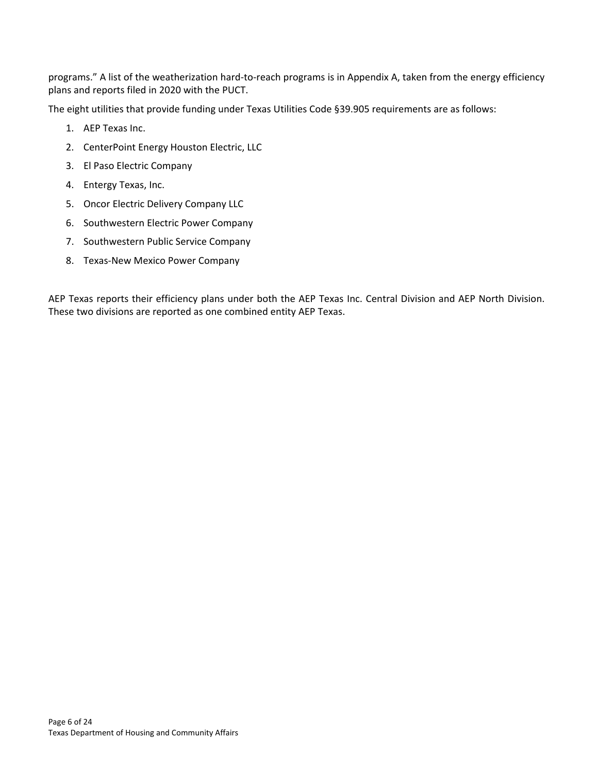programs." A list of the weatherization hard-to-reach programs is in Appendix A, taken from the energy efficiency plans and reports filed in 2020 with the PUCT.

The eight utilities that provide funding under Texas Utilities Code §39.905 requirements are as follows:

- 1. AEP Texas Inc.
- 2. CenterPoint Energy Houston Electric, LLC
- 3. El Paso Electric Company
- 4. Entergy Texas, Inc.
- 5. Oncor Electric Delivery Company LLC
- 6. Southwestern Electric Power Company
- 7. Southwestern Public Service Company
- 8. Texas-New Mexico Power Company

AEP Texas reports their efficiency plans under both the AEP Texas Inc. Central Division and AEP North Division. These two divisions are reported as one combined entity AEP Texas.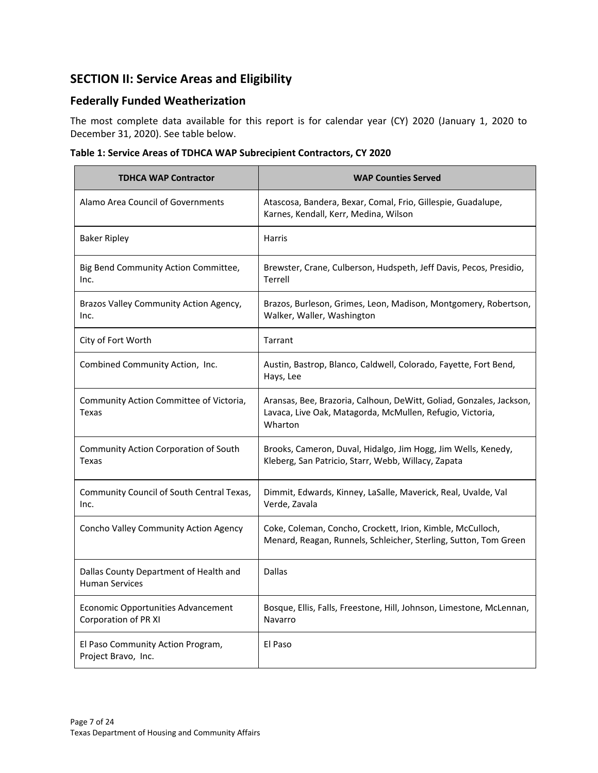# <span id="page-6-0"></span>**SECTION II: Service Areas and Eligibility**

## **Federally Funded Weatherization**

The most complete data available for this report is for calendar year (CY) 2020 (January 1, 2020 to December 31, 2020). See table below.

|  |  | Table 1: Service Areas of TDHCA WAP Subrecipient Contractors, CY 2020 |  |  |
|--|--|-----------------------------------------------------------------------|--|--|
|  |  |                                                                       |  |  |

| <b>TDHCA WAP Contractor</b>                                     | <b>WAP Counties Served</b>                                                                                                                  |
|-----------------------------------------------------------------|---------------------------------------------------------------------------------------------------------------------------------------------|
| Alamo Area Council of Governments                               | Atascosa, Bandera, Bexar, Comal, Frio, Gillespie, Guadalupe,<br>Karnes, Kendall, Kerr, Medina, Wilson                                       |
| <b>Baker Ripley</b>                                             | <b>Harris</b>                                                                                                                               |
| Big Bend Community Action Committee,<br>Inc.                    | Brewster, Crane, Culberson, Hudspeth, Jeff Davis, Pecos, Presidio,<br>Terrell                                                               |
| Brazos Valley Community Action Agency,<br>Inc.                  | Brazos, Burleson, Grimes, Leon, Madison, Montgomery, Robertson,<br>Walker, Waller, Washington                                               |
| City of Fort Worth                                              | Tarrant                                                                                                                                     |
| Combined Community Action, Inc.                                 | Austin, Bastrop, Blanco, Caldwell, Colorado, Fayette, Fort Bend,<br>Hays, Lee                                                               |
| Community Action Committee of Victoria,<br>Texas                | Aransas, Bee, Brazoria, Calhoun, DeWitt, Goliad, Gonzales, Jackson,<br>Lavaca, Live Oak, Matagorda, McMullen, Refugio, Victoria,<br>Wharton |
| Community Action Corporation of South<br>Texas                  | Brooks, Cameron, Duval, Hidalgo, Jim Hogg, Jim Wells, Kenedy,<br>Kleberg, San Patricio, Starr, Webb, Willacy, Zapata                        |
| Community Council of South Central Texas,<br>Inc.               | Dimmit, Edwards, Kinney, LaSalle, Maverick, Real, Uvalde, Val<br>Verde, Zavala                                                              |
| Concho Valley Community Action Agency                           | Coke, Coleman, Concho, Crockett, Irion, Kimble, McCulloch,<br>Menard, Reagan, Runnels, Schleicher, Sterling, Sutton, Tom Green              |
| Dallas County Department of Health and<br><b>Human Services</b> | Dallas                                                                                                                                      |
| Economic Opportunities Advancement<br>Corporation of PR XI      | Bosque, Ellis, Falls, Freestone, Hill, Johnson, Limestone, McLennan,<br>Navarro                                                             |
| El Paso Community Action Program,<br>Project Bravo, Inc.        | El Paso                                                                                                                                     |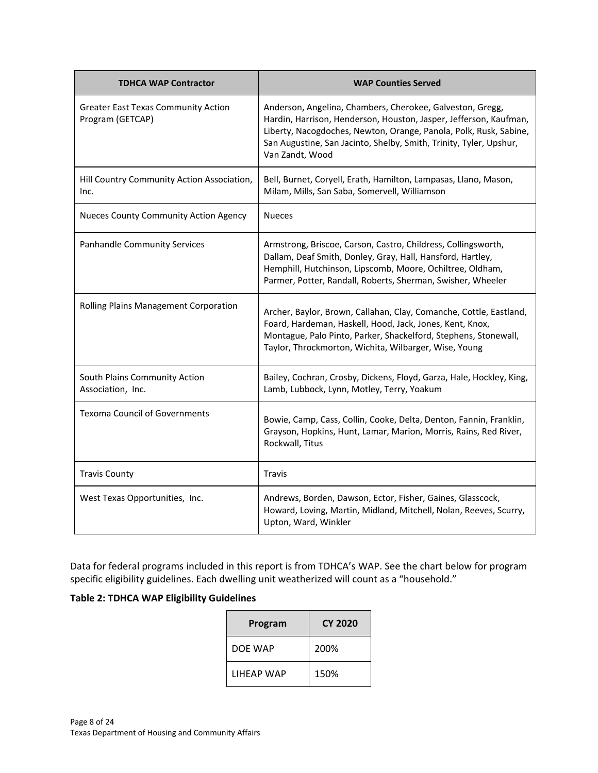| <b>TDHCA WAP Contractor</b>                                    | <b>WAP Counties Served</b>                                                                                                                                                                                                                                                                   |
|----------------------------------------------------------------|----------------------------------------------------------------------------------------------------------------------------------------------------------------------------------------------------------------------------------------------------------------------------------------------|
| <b>Greater East Texas Community Action</b><br>Program (GETCAP) | Anderson, Angelina, Chambers, Cherokee, Galveston, Gregg,<br>Hardin, Harrison, Henderson, Houston, Jasper, Jefferson, Kaufman,<br>Liberty, Nacogdoches, Newton, Orange, Panola, Polk, Rusk, Sabine,<br>San Augustine, San Jacinto, Shelby, Smith, Trinity, Tyler, Upshur,<br>Van Zandt, Wood |
| Hill Country Community Action Association,<br>Inc.             | Bell, Burnet, Coryell, Erath, Hamilton, Lampasas, Llano, Mason,<br>Milam, Mills, San Saba, Somervell, Williamson                                                                                                                                                                             |
| <b>Nueces County Community Action Agency</b>                   | <b>Nueces</b>                                                                                                                                                                                                                                                                                |
| <b>Panhandle Community Services</b>                            | Armstrong, Briscoe, Carson, Castro, Childress, Collingsworth,<br>Dallam, Deaf Smith, Donley, Gray, Hall, Hansford, Hartley,<br>Hemphill, Hutchinson, Lipscomb, Moore, Ochiltree, Oldham,<br>Parmer, Potter, Randall, Roberts, Sherman, Swisher, Wheeler                                      |
| Rolling Plains Management Corporation                          | Archer, Baylor, Brown, Callahan, Clay, Comanche, Cottle, Eastland,<br>Foard, Hardeman, Haskell, Hood, Jack, Jones, Kent, Knox,<br>Montague, Palo Pinto, Parker, Shackelford, Stephens, Stonewall,<br>Taylor, Throckmorton, Wichita, Wilbarger, Wise, Young                                   |
| South Plains Community Action<br>Association, Inc.             | Bailey, Cochran, Crosby, Dickens, Floyd, Garza, Hale, Hockley, King,<br>Lamb, Lubbock, Lynn, Motley, Terry, Yoakum                                                                                                                                                                           |
| <b>Texoma Council of Governments</b>                           | Bowie, Camp, Cass, Collin, Cooke, Delta, Denton, Fannin, Franklin,<br>Grayson, Hopkins, Hunt, Lamar, Marion, Morris, Rains, Red River,<br>Rockwall, Titus                                                                                                                                    |
| <b>Travis County</b>                                           | <b>Travis</b>                                                                                                                                                                                                                                                                                |
| West Texas Opportunities, Inc.                                 | Andrews, Borden, Dawson, Ector, Fisher, Gaines, Glasscock,<br>Howard, Loving, Martin, Midland, Mitchell, Nolan, Reeves, Scurry,<br>Upton, Ward, Winkler                                                                                                                                      |

Data for federal programs included in this report is from TDHCA's WAP. See the chart below for program specific eligibility guidelines. Each dwelling unit weatherized will count as a "household."

## **Table 2: TDHCA WAP Eligibility Guidelines**

| Program    | <b>CY 2020</b> |
|------------|----------------|
| DOE WAP    | 200%           |
| LIHEAP WAP | 150%           |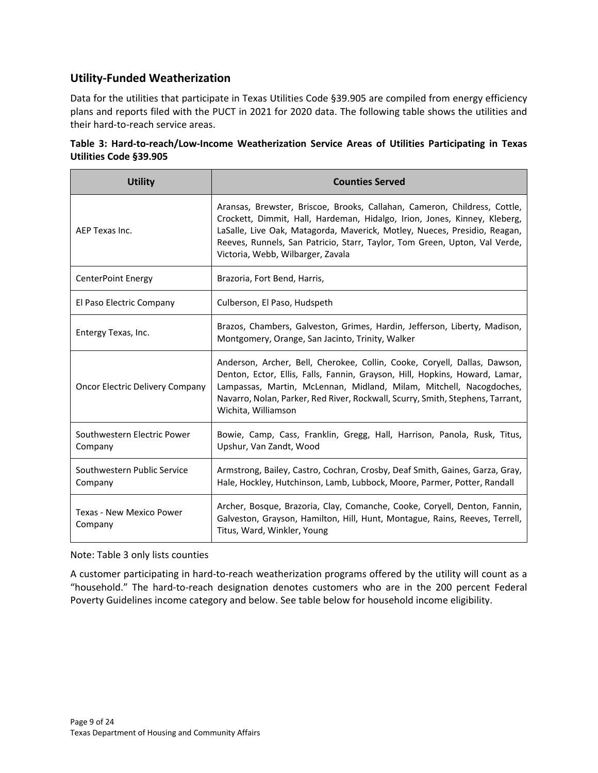## **Utility-Funded Weatherization**

Data for the utilities that participate in Texas Utilities Code §39.905 are compiled from energy efficiency plans and reports filed with the PUCT in 2021 for 2020 data. The following table shows the utilities and their hard-to-reach service areas.

| Table 3: Hard-to-reach/Low-Income Weatherization Service Areas of Utilities Participating in Texas |  |  |  |  |
|----------------------------------------------------------------------------------------------------|--|--|--|--|
| Utilities Code §39.905                                                                             |  |  |  |  |

| <b>Utility</b>                         | <b>Counties Served</b>                                                                                                                                                                                                                                                                                                                                 |
|----------------------------------------|--------------------------------------------------------------------------------------------------------------------------------------------------------------------------------------------------------------------------------------------------------------------------------------------------------------------------------------------------------|
| AEP Texas Inc.                         | Aransas, Brewster, Briscoe, Brooks, Callahan, Cameron, Childress, Cottle,<br>Crockett, Dimmit, Hall, Hardeman, Hidalgo, Irion, Jones, Kinney, Kleberg,<br>LaSalle, Live Oak, Matagorda, Maverick, Motley, Nueces, Presidio, Reagan,<br>Reeves, Runnels, San Patricio, Starr, Taylor, Tom Green, Upton, Val Verde,<br>Victoria, Webb, Wilbarger, Zavala |
| CenterPoint Energy                     | Brazoria, Fort Bend, Harris,                                                                                                                                                                                                                                                                                                                           |
| El Paso Electric Company               | Culberson, El Paso, Hudspeth                                                                                                                                                                                                                                                                                                                           |
| Entergy Texas, Inc.                    | Brazos, Chambers, Galveston, Grimes, Hardin, Jefferson, Liberty, Madison,<br>Montgomery, Orange, San Jacinto, Trinity, Walker                                                                                                                                                                                                                          |
| Oncor Electric Delivery Company        | Anderson, Archer, Bell, Cherokee, Collin, Cooke, Coryell, Dallas, Dawson,<br>Denton, Ector, Ellis, Falls, Fannin, Grayson, Hill, Hopkins, Howard, Lamar,<br>Lampassas, Martin, McLennan, Midland, Milam, Mitchell, Nacogdoches,<br>Navarro, Nolan, Parker, Red River, Rockwall, Scurry, Smith, Stephens, Tarrant,<br>Wichita, Williamson               |
| Southwestern Electric Power<br>Company | Bowie, Camp, Cass, Franklin, Gregg, Hall, Harrison, Panola, Rusk, Titus,<br>Upshur, Van Zandt, Wood                                                                                                                                                                                                                                                    |
| Southwestern Public Service<br>Company | Armstrong, Bailey, Castro, Cochran, Crosby, Deaf Smith, Gaines, Garza, Gray,<br>Hale, Hockley, Hutchinson, Lamb, Lubbock, Moore, Parmer, Potter, Randall                                                                                                                                                                                               |
| Texas - New Mexico Power<br>Company    | Archer, Bosque, Brazoria, Clay, Comanche, Cooke, Coryell, Denton, Fannin,<br>Galveston, Grayson, Hamilton, Hill, Hunt, Montague, Rains, Reeves, Terrell,<br>Titus, Ward, Winkler, Young                                                                                                                                                                |

#### Note: Table 3 only lists counties

A customer participating in hard-to-reach weatherization programs offered by the utility will count as a "household." The hard-to-reach designation denotes customers who are in the 200 percent Federal Poverty Guidelines income category and below. See table below for household income eligibility.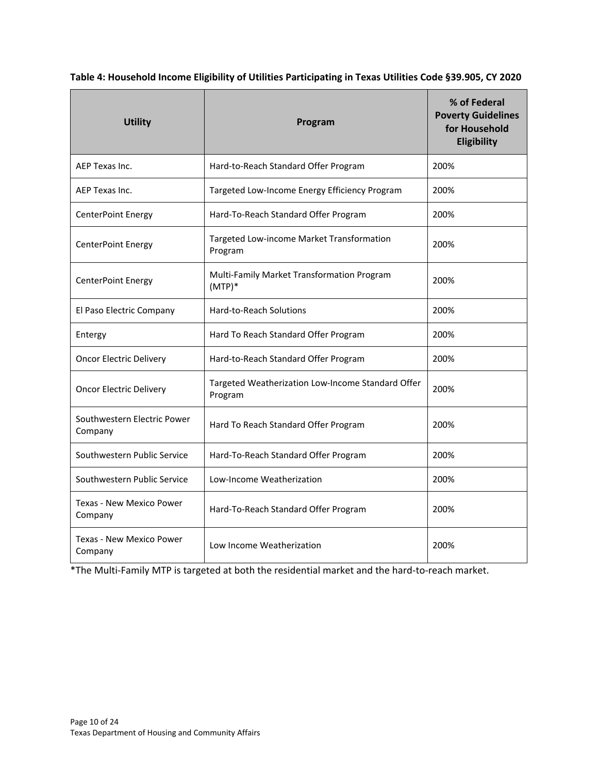**Table 4: Household Income Eligibility of Utilities Participating in Texas Utilities Code §39.905, CY 2020**

| <b>Utility</b>                                                                                 | Program                                                        | % of Federal<br><b>Poverty Guidelines</b><br>for Household<br>Eligibility |
|------------------------------------------------------------------------------------------------|----------------------------------------------------------------|---------------------------------------------------------------------------|
| AEP Texas Inc.                                                                                 | Hard-to-Reach Standard Offer Program                           | 200%                                                                      |
| AEP Texas Inc.                                                                                 | Targeted Low-Income Energy Efficiency Program                  | 200%                                                                      |
| CenterPoint Energy                                                                             | Hard-To-Reach Standard Offer Program                           | 200%                                                                      |
| CenterPoint Energy                                                                             | Targeted Low-income Market Transformation<br>Program           | 200%                                                                      |
| CenterPoint Energy                                                                             | Multi-Family Market Transformation Program<br>200%<br>$(MTP)*$ |                                                                           |
| El Paso Electric Company                                                                       | <b>Hard-to-Reach Solutions</b>                                 | 200%                                                                      |
| Entergy                                                                                        | Hard To Reach Standard Offer Program                           | 200%                                                                      |
| <b>Oncor Electric Delivery</b>                                                                 | Hard-to-Reach Standard Offer Program                           | 200%                                                                      |
| Targeted Weatherization Low-Income Standard Offer<br><b>Oncor Electric Delivery</b><br>Program |                                                                | 200%                                                                      |
| Southwestern Electric Power<br>Company                                                         | Hard To Reach Standard Offer Program                           | 200%                                                                      |
| Southwestern Public Service                                                                    | Hard-To-Reach Standard Offer Program                           | 200%                                                                      |
| Southwestern Public Service                                                                    | Low-Income Weatherization                                      | 200%                                                                      |
| <b>Texas - New Mexico Power</b><br>Company                                                     | Hard-To-Reach Standard Offer Program                           | 200%                                                                      |
| Texas - New Mexico Power<br>Company                                                            | Low Income Weatherization                                      | 200%                                                                      |

\*The Multi-Family MTP is targeted at both the residential market and the hard-to-reach market.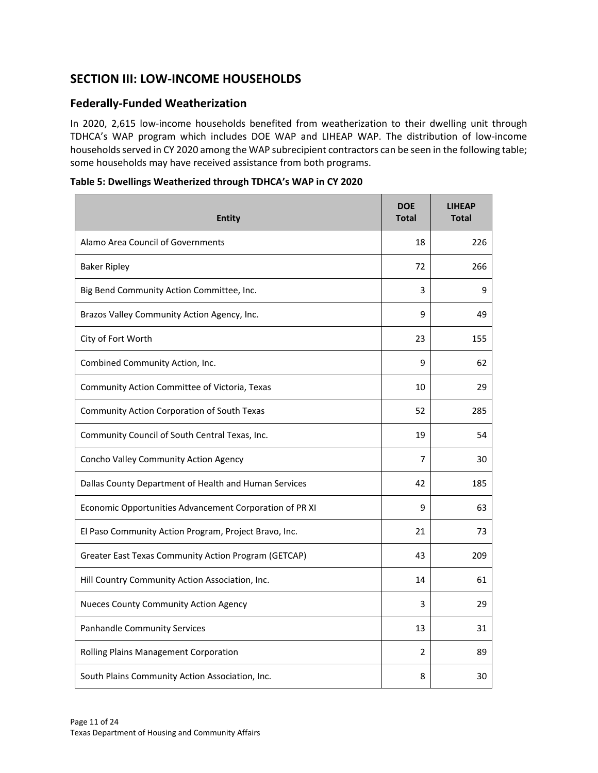# <span id="page-10-0"></span>**SECTION III: LOW-INCOME HOUSEHOLDS**

## **Federally-Funded Weatherization**

In 2020, 2,615 low-income households benefited from weatherization to their dwelling unit through TDHCA's WAP program which includes DOE WAP and LIHEAP WAP. The distribution of low-income households served in CY 2020 among the WAP subrecipient contractors can be seen in the following table; some households may have received assistance from both programs.

| <b>Entity</b>                                           | <b>DOE</b><br><b>Total</b> | <b>LIHEAP</b><br><b>Total</b> |
|---------------------------------------------------------|----------------------------|-------------------------------|
| Alamo Area Council of Governments                       | 18                         | 226                           |
| <b>Baker Ripley</b>                                     | 72                         | 266                           |
| Big Bend Community Action Committee, Inc.               | 3                          | 9                             |
| Brazos Valley Community Action Agency, Inc.             | 9                          | 49                            |
| City of Fort Worth                                      | 23                         | 155                           |
| Combined Community Action, Inc.                         | 9                          | 62                            |
| Community Action Committee of Victoria, Texas           | 10                         | 29                            |
| Community Action Corporation of South Texas             | 52                         | 285                           |
| Community Council of South Central Texas, Inc.          | 19                         | 54                            |
| Concho Valley Community Action Agency                   | 7                          | 30                            |
| Dallas County Department of Health and Human Services   | 42                         | 185                           |
| Economic Opportunities Advancement Corporation of PR XI | 9                          | 63                            |
| El Paso Community Action Program, Project Bravo, Inc.   | 21                         | 73                            |
| Greater East Texas Community Action Program (GETCAP)    | 43                         | 209                           |
| Hill Country Community Action Association, Inc.         | 14                         | 61                            |
| <b>Nueces County Community Action Agency</b>            | 3                          | 29                            |
| <b>Panhandle Community Services</b>                     | 13                         | 31                            |
| Rolling Plains Management Corporation                   | 2                          | 89                            |
| South Plains Community Action Association, Inc.         | 8                          | 30                            |

**Table 5: Dwellings Weatherized through TDHCA's WAP in CY 2020**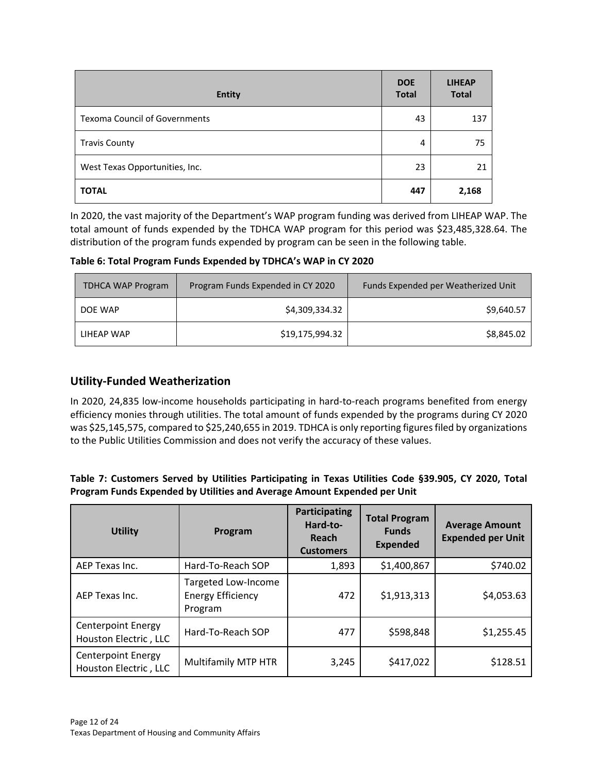| <b>Entity</b>                        | <b>DOE</b><br><b>Total</b> | <b>LIHEAP</b><br><b>Total</b> |
|--------------------------------------|----------------------------|-------------------------------|
| <b>Texoma Council of Governments</b> | 43                         | 137                           |
| <b>Travis County</b>                 | 4                          | 75                            |
| West Texas Opportunities, Inc.       | 23                         | 21                            |
| <b>TOTAL</b>                         | 447                        | 2,168                         |

In 2020, the vast majority of the Department's WAP program funding was derived from LIHEAP WAP. The total amount of funds expended by the TDHCA WAP program for this period was \$23,485,328.64. The distribution of the program funds expended by program can be seen in the following table.

**Table 6: Total Program Funds Expended by TDHCA's WAP in CY 2020**

| <b>TDHCA WAP Program</b> | Program Funds Expended in CY 2020 | Funds Expended per Weatherized Unit |
|--------------------------|-----------------------------------|-------------------------------------|
| DOE WAP                  | \$4,309,334.32                    | \$9,640.57                          |
| LIHEAP WAP               | \$19,175,994.32                   | \$8,845.02                          |

## **Utility-Funded Weatherization**

In 2020, 24,835 low-income households participating in hard-to-reach programs benefited from energy efficiency monies through utilities. The total amount of funds expended by the programs during CY 2020 was \$25,145,575, compared to \$25,240,655 in 2019. TDHCA is only reporting figures filed by organizations to the Public Utilities Commission and does not verify the accuracy of these values.

#### **Table 7: Customers Served by Utilities Participating in Texas Utilities Code §39.905, CY 2020, Total Program Funds Expended by Utilities and Average Amount Expended per Unit**

| <b>Utility</b>                                     | Program                                                    | Participating<br>Hard-to-<br>Reach<br><b>Customers</b> | <b>Total Program</b><br><b>Funds</b><br><b>Expended</b> | <b>Average Amount</b><br><b>Expended per Unit</b> |
|----------------------------------------------------|------------------------------------------------------------|--------------------------------------------------------|---------------------------------------------------------|---------------------------------------------------|
| AEP Texas Inc.                                     | Hard-To-Reach SOP                                          | 1,893                                                  | \$1,400,867                                             | \$740.02                                          |
| AEP Texas Inc.                                     | Targeted Low-Income<br><b>Energy Efficiency</b><br>Program | 472                                                    | \$1,913,313                                             | \$4,053.63                                        |
| <b>Centerpoint Energy</b><br>Houston Electric, LLC | Hard-To-Reach SOP                                          | 477                                                    | \$598,848                                               | \$1,255.45                                        |
| <b>Centerpoint Energy</b><br>Houston Electric, LLC | <b>Multifamily MTP HTR</b>                                 | 3,245                                                  | \$417,022                                               | \$128.51                                          |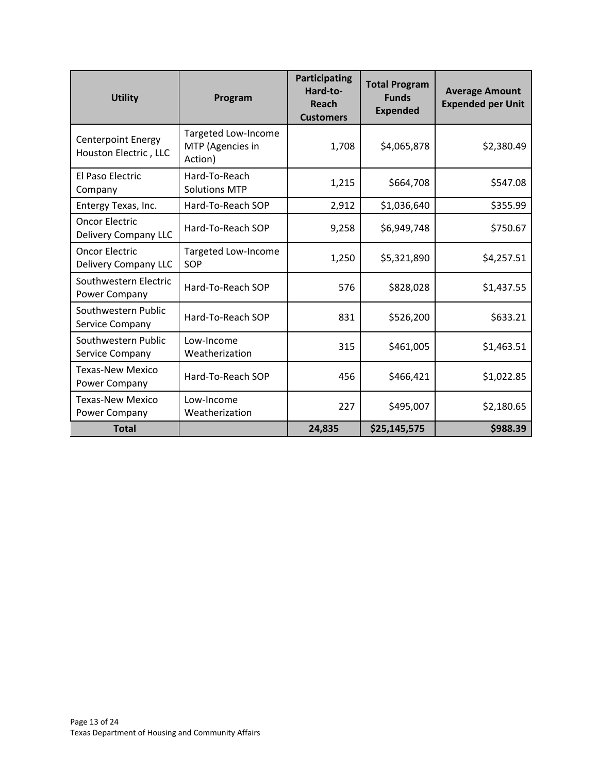| <b>Utility</b>                                     | Program                                            | Participating<br>Hard-to-<br>Reach<br><b>Customers</b> | <b>Total Program</b><br><b>Funds</b><br><b>Expended</b> | <b>Average Amount</b><br><b>Expended per Unit</b> |
|----------------------------------------------------|----------------------------------------------------|--------------------------------------------------------|---------------------------------------------------------|---------------------------------------------------|
| <b>Centerpoint Energy</b><br>Houston Electric, LLC | Targeted Low-Income<br>MTP (Agencies in<br>Action) | 1,708                                                  | \$4,065,878                                             | \$2,380.49                                        |
| El Paso Electric<br>Company                        | Hard-To-Reach<br><b>Solutions MTP</b>              | 1,215                                                  | \$664,708                                               | \$547.08                                          |
| Entergy Texas, Inc.                                | Hard-To-Reach SOP                                  | 2,912                                                  | \$1,036,640                                             | \$355.99                                          |
| <b>Oncor Electric</b><br>Delivery Company LLC      | Hard-To-Reach SOP                                  | 9,258                                                  | \$6,949,748                                             | \$750.67                                          |
| <b>Oncor Electric</b><br>Delivery Company LLC      | Targeted Low-Income<br>SOP                         | 1,250                                                  | \$5,321,890                                             | \$4,257.51                                        |
| Southwestern Electric<br>Power Company             | Hard-To-Reach SOP                                  | 576                                                    | \$828,028                                               | \$1,437.55                                        |
| Southwestern Public<br>Service Company             | Hard-To-Reach SOP                                  | 831                                                    | \$526,200                                               | \$633.21                                          |
| Southwestern Public<br>Service Company             | Low-Income<br>Weatherization                       | 315                                                    | \$461,005                                               | \$1,463.51                                        |
| Texas-New Mexico<br>Power Company                  | Hard-To-Reach SOP                                  | 456                                                    | \$466,421                                               | \$1,022.85                                        |
| <b>Texas-New Mexico</b><br>Power Company           | Low-Income<br>Weatherization                       | 227                                                    | \$495,007                                               | \$2,180.65                                        |
| <b>Total</b>                                       |                                                    | 24,835                                                 | \$25,145,575                                            | \$988.39                                          |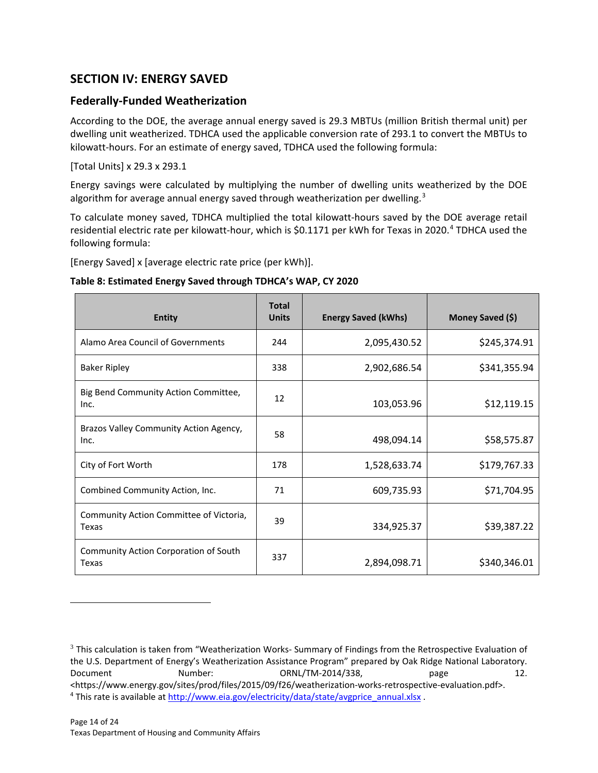# <span id="page-13-0"></span>**SECTION IV: ENERGY SAVED**

## **Federally-Funded Weatherization**

According to the DOE, the average annual energy saved is 29.3 MBTUs (million British thermal unit) per dwelling unit weatherized. TDHCA used the applicable conversion rate of 293.1 to convert the MBTUs to kilowatt-hours. For an estimate of energy saved, TDHCA used the following formula:

[Total Units] x 29.3 x 293.1

Energy savings were calculated by multiplying the number of dwelling units weatherized by the DOE algorithm for average annual energy saved through weatherization per dwelling.<sup>[3](#page-13-1)</sup>

To calculate money saved, TDHCA multiplied the total kilowatt-hours saved by the DOE average retail residential electric rate per kilowatt-hour, which is \$0.1171 per kWh for Texas in 2020.<sup>[4](#page-13-2)</sup> TDHCA used the following formula:

[Energy Saved] x [average electric rate price (per kWh)].

| <b>Entity</b>                                    | <b>Total</b><br><b>Units</b> | <b>Energy Saved (kWhs)</b> | Money Saved (\$) |
|--------------------------------------------------|------------------------------|----------------------------|------------------|
| Alamo Area Council of Governments                | 244                          | 2,095,430.52               | \$245,374.91     |
| <b>Baker Ripley</b>                              | 338                          | 2,902,686.54               | \$341,355.94     |
| Big Bend Community Action Committee,<br>Inc.     | 12                           | 103,053.96                 | \$12,119.15      |
| Brazos Valley Community Action Agency,<br>Inc.   | 58                           | 498,094.14                 | \$58,575.87      |
| City of Fort Worth                               | 178                          | 1,528,633.74               | \$179,767.33     |
| Combined Community Action, Inc.                  | 71                           | 609,735.93                 | \$71,704.95      |
| Community Action Committee of Victoria,<br>Texas | 39                           | 334,925.37                 | \$39,387.22      |
| Community Action Corporation of South<br>Texas   | 337                          | 2,894,098.71               | \$340,346.01     |

#### **Table 8: Estimated Energy Saved through TDHCA's WAP, CY 2020**

<span id="page-13-2"></span><sup>4</sup> This rate is available at [http://www.eia.gov/electricity/data/state/avgprice\\_annual.xlsx](http://www.eia.gov/electricity/data/state/avgprice_annual.xlsx) .

 $\overline{a}$ 

<span id="page-13-1"></span> $3$  This calculation is taken from "Weatherization Works- Summary of Findings from the Retrospective Evaluation of the U.S. Department of Energy's Weatherization Assistance Program" prepared by Oak Ridge National Laboratory. Document Number: 0RNL/TM-2014/338, page 12. <https://www.energy.gov/sites/prod/files/2015/09/f26/weatherization-works-retrospective-evaluation.pdf>.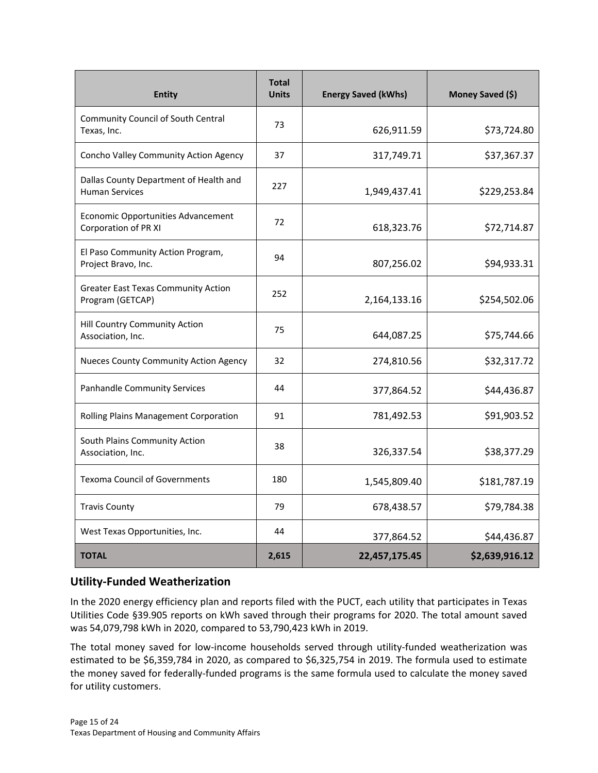| <b>Entity</b>                                                   | <b>Total</b><br><b>Units</b> | <b>Energy Saved (kWhs)</b> | Money Saved (\$) |
|-----------------------------------------------------------------|------------------------------|----------------------------|------------------|
| Community Council of South Central<br>Texas, Inc.               | 73                           | 626,911.59                 | \$73,724.80      |
| Concho Valley Community Action Agency                           | 37                           | 317,749.71                 | \$37,367.37      |
| Dallas County Department of Health and<br><b>Human Services</b> | 227                          | 1,949,437.41               | \$229,253.84     |
| Economic Opportunities Advancement<br>Corporation of PR XI      | 72                           | 618,323.76                 | \$72,714.87      |
| El Paso Community Action Program,<br>Project Bravo, Inc.        | 94                           | 807,256.02                 | \$94,933.31      |
| <b>Greater East Texas Community Action</b><br>Program (GETCAP)  | 252                          | 2,164,133.16               | \$254,502.06     |
| Hill Country Community Action<br>Association, Inc.              | 75                           | 644,087.25                 | \$75,744.66      |
| Nueces County Community Action Agency                           | 32                           | 274,810.56                 | \$32,317.72      |
| <b>Panhandle Community Services</b>                             | 44                           | 377,864.52                 | \$44,436.87      |
| Rolling Plains Management Corporation                           | 91                           | 781,492.53                 | \$91,903.52      |
| South Plains Community Action<br>Association, Inc.              | 38                           | 326,337.54                 | \$38,377.29      |
| <b>Texoma Council of Governments</b>                            | 180                          | 1,545,809.40               | \$181,787.19     |
| <b>Travis County</b>                                            | 79                           | 678,438.57                 | \$79,784.38      |
| West Texas Opportunities, Inc.                                  | 44                           | 377,864.52                 | \$44,436.87      |
| <b>TOTAL</b>                                                    | 2,615                        | 22,457,175.45              | \$2,639,916.12   |

## **Utility-Funded Weatherization**

In the 2020 energy efficiency plan and reports filed with the PUCT, each utility that participates in Texas Utilities Code §39.905 reports on kWh saved through their programs for 2020. The total amount saved was 54,079,798 kWh in 2020, compared to 53,790,423 kWh in 2019.

The total money saved for low-income households served through utility-funded weatherization was estimated to be \$6,359,784 in 2020, as compared to \$6,325,754 in 2019. The formula used to estimate the money saved for federally-funded programs is the same formula used to calculate the money saved for utility customers.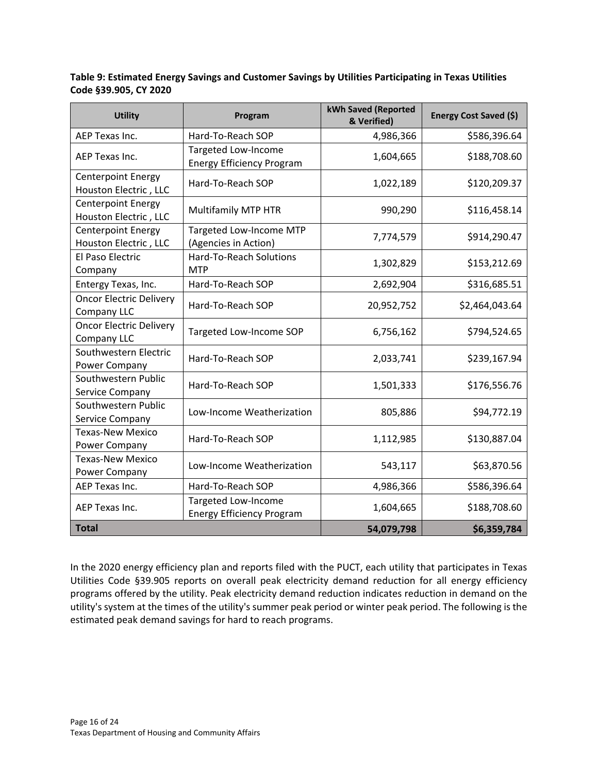**Table 9: Estimated Energy Savings and Customer Savings by Utilities Participating in Texas Utilities Code §39.905, CY 2020**

| <b>Utility</b>                                     | Program                                                 | kWh Saved (Reported<br>& Verified) | Energy Cost Saved (\$) |
|----------------------------------------------------|---------------------------------------------------------|------------------------------------|------------------------|
| AEP Texas Inc.                                     | Hard-To-Reach SOP                                       | 4,986,366                          | \$586,396.64           |
| AEP Texas Inc.                                     | Targeted Low-Income<br><b>Energy Efficiency Program</b> | 1,604,665                          | \$188,708.60           |
| <b>Centerpoint Energy</b><br>Houston Electric, LLC | Hard-To-Reach SOP                                       | 1,022,189                          | \$120,209.37           |
| <b>Centerpoint Energy</b><br>Houston Electric, LLC | Multifamily MTP HTR                                     | 990,290                            | \$116,458.14           |
| <b>Centerpoint Energy</b><br>Houston Electric, LLC | Targeted Low-Income MTP<br>(Agencies in Action)         | 7,774,579                          | \$914,290.47           |
| El Paso Electric<br>Company                        | <b>Hard-To-Reach Solutions</b><br><b>MTP</b>            | 1,302,829                          | \$153,212.69           |
| Entergy Texas, Inc.                                | Hard-To-Reach SOP                                       | 2,692,904                          | \$316,685.51           |
| <b>Oncor Electric Delivery</b><br>Company LLC      | Hard-To-Reach SOP                                       | 20,952,752                         | \$2,464,043.64         |
| <b>Oncor Electric Delivery</b><br>Company LLC      | Targeted Low-Income SOP                                 | 6,756,162                          | \$794,524.65           |
| Southwestern Electric<br>Power Company             | Hard-To-Reach SOP                                       | 2,033,741                          | \$239,167.94           |
| Southwestern Public<br>Service Company             | Hard-To-Reach SOP                                       | 1,501,333                          | \$176,556.76           |
| Southwestern Public<br>Service Company             | Low-Income Weatherization                               | 805,886                            | \$94,772.19            |
| <b>Texas-New Mexico</b><br>Power Company           | Hard-To-Reach SOP                                       | 1,112,985                          | \$130,887.04           |
| <b>Texas-New Mexico</b><br>Power Company           | Low-Income Weatherization                               | 543,117                            | \$63,870.56            |
| AEP Texas Inc.                                     | Hard-To-Reach SOP                                       | 4,986,366                          | \$586,396.64           |
| AEP Texas Inc.                                     | Targeted Low-Income<br><b>Energy Efficiency Program</b> | 1,604,665                          | \$188,708.60           |
| <b>Total</b>                                       |                                                         | 54,079,798                         | \$6,359,784            |

In the 2020 energy efficiency plan and reports filed with the PUCT, each utility that participates in Texas Utilities Code §39.905 reports on overall peak electricity demand reduction for all energy efficiency programs offered by the utility. Peak electricity demand reduction indicates reduction in demand on the utility's system at the times of the utility's summer peak period or winter peak period. The following is the estimated peak demand savings for hard to reach programs.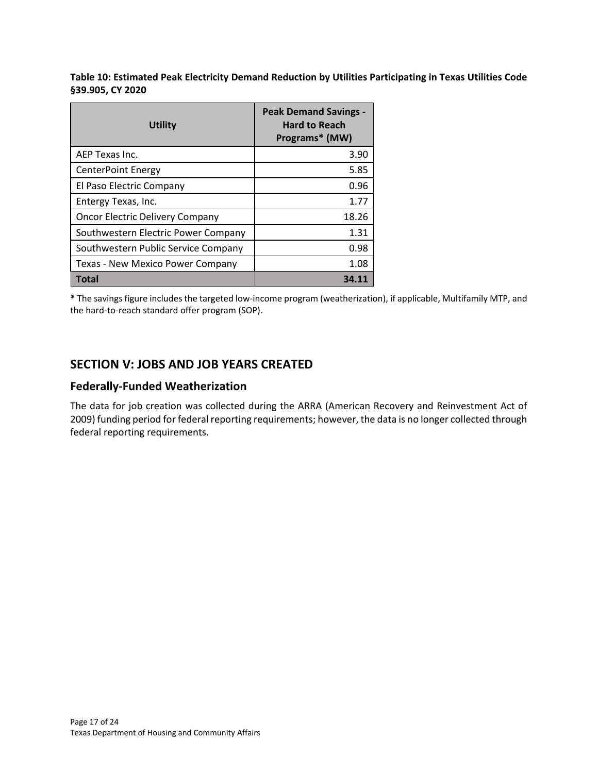**Table 10: Estimated Peak Electricity Demand Reduction by Utilities Participating in Texas Utilities Code §39.905, CY 2020**

| Utility                                | <b>Peak Demand Savings -</b><br><b>Hard to Reach</b><br>Programs* (MW) |
|----------------------------------------|------------------------------------------------------------------------|
| AEP Texas Inc.                         | 3.90                                                                   |
| <b>CenterPoint Energy</b>              | 5.85                                                                   |
| El Paso Electric Company               | 0.96                                                                   |
| Entergy Texas, Inc.                    | 1.77                                                                   |
| <b>Oncor Electric Delivery Company</b> | 18.26                                                                  |
| Southwestern Electric Power Company    | 1.31                                                                   |
| Southwestern Public Service Company    | 0.98                                                                   |
| Texas - New Mexico Power Company       | 1.08                                                                   |
| <b>Total</b>                           |                                                                        |

<span id="page-16-0"></span>**\*** The savings figure includes the targeted low-income program (weatherization), if applicable, Multifamily MTP, and the hard-to-reach standard offer program (SOP).

# **SECTION V: JOBS AND JOB YEARS CREATED**

## **Federally-Funded Weatherization**

The data for job creation was collected during the ARRA (American Recovery and Reinvestment Act of 2009) funding period for federal reporting requirements; however, the data is no longer collected through federal reporting requirements.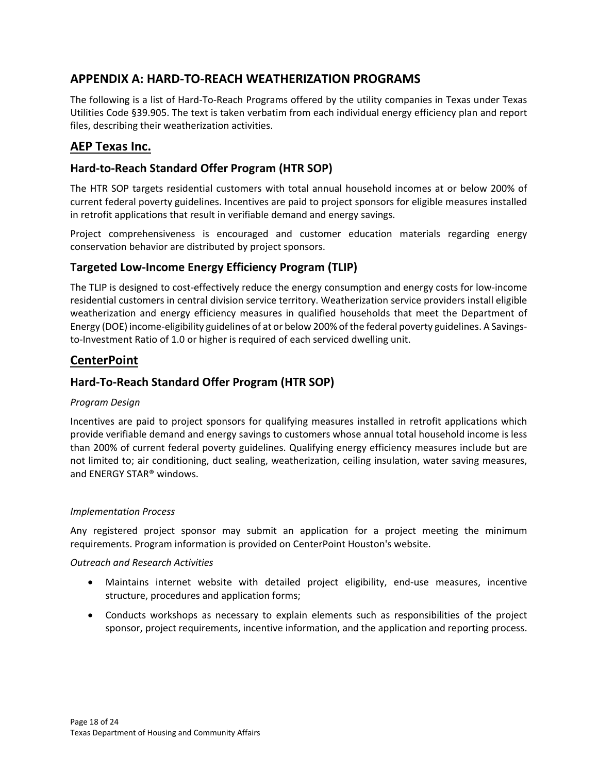# <span id="page-17-0"></span>**APPENDIX A: HARD-TO-REACH WEATHERIZATION PROGRAMS**

The following is a list of Hard-To-Reach Programs offered by the utility companies in Texas under Texas Utilities Code §39.905. The text is taken verbatim from each individual energy efficiency plan and report files, describing their weatherization activities.

# **AEP Texas Inc.**

## **Hard-to-Reach Standard Offer Program (HTR SOP)**

The HTR SOP targets residential customers with total annual household incomes at or below 200% of current federal poverty guidelines. Incentives are paid to project sponsors for eligible measures installed in retrofit applications that result in verifiable demand and energy savings.

Project comprehensiveness is encouraged and customer education materials regarding energy conservation behavior are distributed by project sponsors.

## **Targeted Low-Income Energy Efficiency Program (TLIP)**

The TLIP is designed to cost-effectively reduce the energy consumption and energy costs for low-income residential customers in central division service territory. Weatherization service providers install eligible weatherization and energy efficiency measures in qualified households that meet the Department of Energy (DOE) income-eligibility guidelines of at or below 200% of the federal poverty guidelines. A Savingsto-Investment Ratio of 1.0 or higher is required of each serviced dwelling unit.

## **CenterPoint**

## **Hard-To-Reach Standard Offer Program (HTR SOP)**

#### *Program Design*

Incentives are paid to project sponsors for qualifying measures installed in retrofit applications which provide verifiable demand and energy savings to customers whose annual total household income is less than 200% of current federal poverty guidelines. Qualifying energy efficiency measures include but are not limited to; air conditioning, duct sealing, weatherization, ceiling insulation, water saving measures, and ENERGY STAR® windows.

#### *Implementation Process*

Any registered project sponsor may submit an application for a project meeting the minimum requirements. Program information is provided on CenterPoint Houston's website.

#### *Outreach and Research Activities*

- Maintains internet website with detailed project eligibility, end-use measures, incentive structure, procedures and application forms;
- Conducts workshops as necessary to explain elements such as responsibilities of the project sponsor, project requirements, incentive information, and the application and reporting process.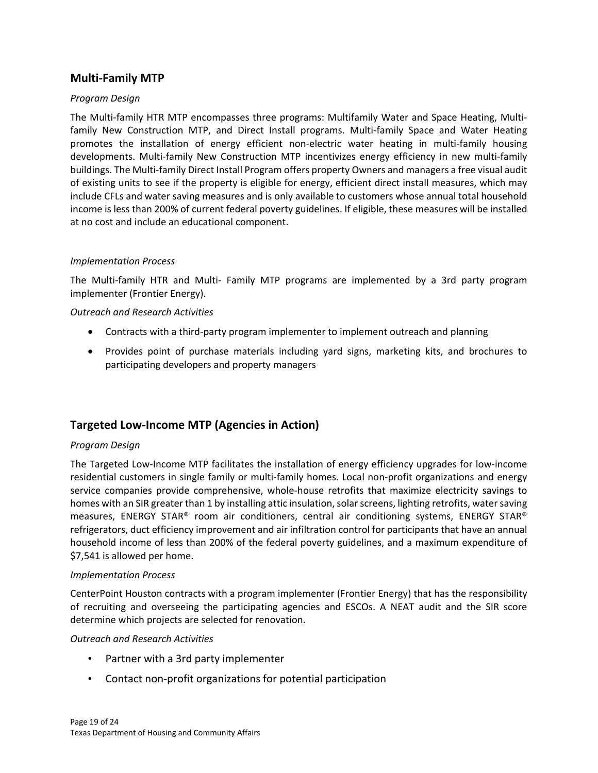#### **Multi-Family MTP**

#### *Program Design*

The Multi-family HTR MTP encompasses three programs: Multifamily Water and Space Heating, Multifamily New Construction MTP, and Direct Install programs. Multi-family Space and Water Heating promotes the installation of energy efficient non-electric water heating in multi-family housing developments. Multi-family New Construction MTP incentivizes energy efficiency in new multi-family buildings. The Multi-family Direct Install Program offers property Owners and managers a free visual audit of existing units to see if the property is eligible for energy, efficient direct install measures, which may include CFLs and water saving measures and is only available to customers whose annual total household income is less than 200% of current federal poverty guidelines. If eligible, these measures will be installed at no cost and include an educational component.

#### *Implementation Process*

The Multi-family HTR and Multi- Family MTP programs are implemented by a 3rd party program implementer (Frontier Energy).

#### *Outreach and Research Activities*

- Contracts with a third-party program implementer to implement outreach and planning
- Provides point of purchase materials including yard signs, marketing kits, and brochures to participating developers and property managers

## **Targeted Low-Income MTP (Agencies in Action)**

#### *Program Design*

The Targeted Low-Income MTP facilitates the installation of energy efficiency upgrades for low-income residential customers in single family or multi-family homes. Local non-profit organizations and energy service companies provide comprehensive, whole-house retrofits that maximize electricity savings to homes with an SIR greater than 1 by installing attic insulation, solar screens, lighting retrofits, water saving measures, ENERGY STAR® room air conditioners, central air conditioning systems, ENERGY STAR® refrigerators, duct efficiency improvement and air infiltration control for participants that have an annual household income of less than 200% of the federal poverty guidelines, and a maximum expenditure of \$7,541 is allowed per home.

#### *Implementation Process*

CenterPoint Houston contracts with a program implementer (Frontier Energy) that has the responsibility of recruiting and overseeing the participating agencies and ESCOs. A NEAT audit and the SIR score determine which projects are selected for renovation.

#### *Outreach and Research Activities*

- Partner with a 3rd party implementer
- Contact non-profit organizations for potential participation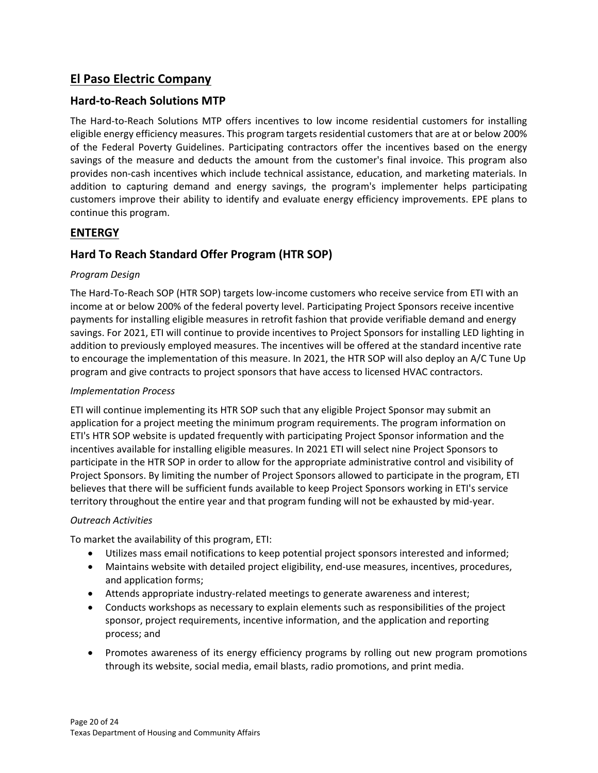# **El Paso Electric Company**

## **Hard-to-Reach Solutions MTP**

The Hard-to-Reach Solutions MTP offers incentives to low income residential customers for installing eligible energy efficiency measures. This program targets residential customers that are at or below 200% of the Federal Poverty Guidelines. Participating contractors offer the incentives based on the energy savings of the measure and deducts the amount from the customer's final invoice. This program also provides non-cash incentives which include technical assistance, education, and marketing materials. In addition to capturing demand and energy savings, the program's implementer helps participating customers improve their ability to identify and evaluate energy efficiency improvements. EPE plans to continue this program.

## **ENTERGY**

## **Hard To Reach Standard Offer Program (HTR SOP)**

#### *Program Design*

The Hard-To-Reach SOP (HTR SOP) targets low-income customers who receive service from ETI with an income at or below 200% of the federal poverty level. Participating Project Sponsors receive incentive payments for installing eligible measures in retrofit fashion that provide verifiable demand and energy savings. For 2021, ETI will continue to provide incentives to Project Sponsors for installing LED lighting in addition to previously employed measures. The incentives will be offered at the standard incentive rate to encourage the implementation of this measure. In 2021, the HTR SOP will also deploy an A/C Tune Up program and give contracts to project sponsors that have access to licensed HVAC contractors.

#### *Implementation Process*

ETI will continue implementing its HTR SOP such that any eligible Project Sponsor may submit an application for a project meeting the minimum program requirements. The program information on ETI's HTR SOP website is updated frequently with participating Project Sponsor information and the incentives available for installing eligible measures. In 2021 ETI will select nine Project Sponsors to participate in the HTR SOP in order to allow for the appropriate administrative control and visibility of Project Sponsors. By limiting the number of Project Sponsors allowed to participate in the program, ETI believes that there will be sufficient funds available to keep Project Sponsors working in ETI's service territory throughout the entire year and that program funding will not be exhausted by mid-year.

#### *Outreach Activities*

To market the availability of this program, ETI:

- Utilizes mass email notifications to keep potential project sponsors interested and informed;
- Maintains website with detailed project eligibility, end-use measures, incentives, procedures, and application forms;
- Attends appropriate industry-related meetings to generate awareness and interest;
- Conducts workshops as necessary to explain elements such as responsibilities of the project sponsor, project requirements, incentive information, and the application and reporting process; and
- Promotes awareness of its energy efficiency programs by rolling out new program promotions through its website, social media, email blasts, radio promotions, and print media.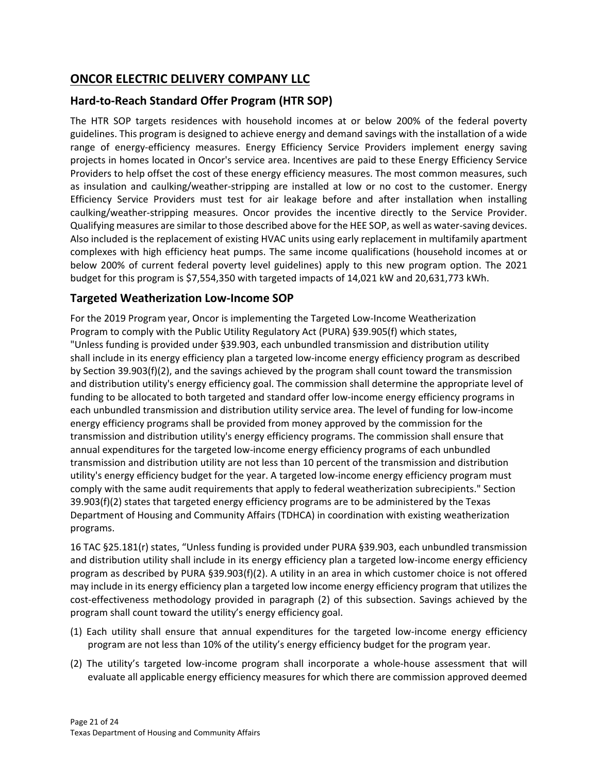# **ONCOR ELECTRIC DELIVERY COMPANY LLC**

# **Hard-to-Reach Standard Offer Program (HTR SOP)**

The HTR SOP targets residences with household incomes at or below 200% of the federal poverty guidelines. This program is designed to achieve energy and demand savings with the installation of a wide range of energy-efficiency measures. Energy Efficiency Service Providers implement energy saving projects in homes located in Oncor's service area. Incentives are paid to these Energy Efficiency Service Providers to help offset the cost of these energy efficiency measures. The most common measures, such as insulation and caulking/weather-stripping are installed at low or no cost to the customer. Energy Efficiency Service Providers must test for air leakage before and after installation when installing caulking/weather-stripping measures. Oncor provides the incentive directly to the Service Provider. Qualifying measures are similar to those described above for the HEE SOP, as well as water-saving devices. Also included is the replacement of existing HVAC units using early replacement in multifamily apartment complexes with high efficiency heat pumps. The same income qualifications (household incomes at or below 200% of current federal poverty level guidelines) apply to this new program option. The 2021 budget for this program is \$7,554,350 with targeted impacts of 14,021 kW and 20,631,773 kWh.

# **Targeted Weatherization Low-Income SOP**

For the 2019 Program year, Oncor is implementing the Targeted Low-Income Weatherization Program to comply with the Public Utility Regulatory Act (PURA) §39.905(f) which states, "Unless funding is provided under §39.903, each unbundled transmission and distribution utility shall include in its energy efficiency plan a targeted low-income energy efficiency program as described by Section 39.903(f)(2), and the savings achieved by the program shall count toward the transmission and distribution utility's energy efficiency goal. The commission shall determine the appropriate level of funding to be allocated to both targeted and standard offer low-income energy efficiency programs in each unbundled transmission and distribution utility service area. The level of funding for low-income energy efficiency programs shall be provided from money approved by the commission for the transmission and distribution utility's energy efficiency programs. The commission shall ensure that annual expenditures for the targeted low-income energy efficiency programs of each unbundled transmission and distribution utility are not less than 10 percent of the transmission and distribution utility's energy efficiency budget for the year. A targeted low-income energy efficiency program must comply with the same audit requirements that apply to federal weatherization subrecipients." Section 39.903(f)(2) states that targeted energy efficiency programs are to be administered by the Texas Department of Housing and Community Affairs (TDHCA) in coordination with existing weatherization programs.

16 TAC §25.181(r) states, "Unless funding is provided under PURA §39.903, each unbundled transmission and distribution utility shall include in its energy efficiency plan a targeted low-income energy efficiency program as described by PURA §39.903(f)(2). A utility in an area in which customer choice is not offered may include in its energy efficiency plan a targeted low income energy efficiency program that utilizes the cost-effectiveness methodology provided in paragraph (2) of this subsection. Savings achieved by the program shall count toward the utility's energy efficiency goal.

- (1) Each utility shall ensure that annual expenditures for the targeted low-income energy efficiency program are not less than 10% of the utility's energy efficiency budget for the program year.
- (2) The utility's targeted low-income program shall incorporate a whole-house assessment that will evaluate all applicable energy efficiency measures for which there are commission approved deemed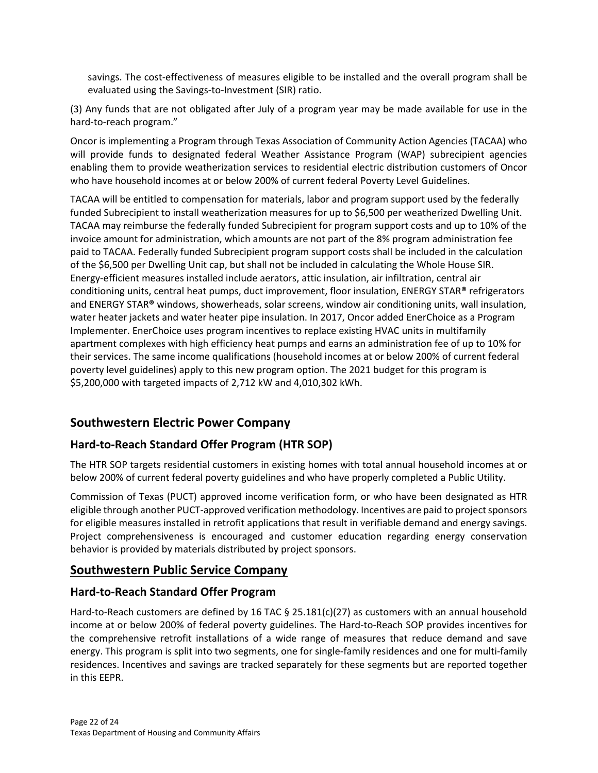savings. The cost-effectiveness of measures eligible to be installed and the overall program shall be evaluated using the Savings-to-Investment (SIR) ratio.

(3) Any funds that are not obligated after July of a program year may be made available for use in the hard-to-reach program."

Oncor is implementing a Program through Texas Association of Community Action Agencies (TACAA) who will provide funds to designated federal Weather Assistance Program (WAP) subrecipient agencies enabling them to provide weatherization services to residential electric distribution customers of Oncor who have household incomes at or below 200% of current federal Poverty Level Guidelines.

TACAA will be entitled to compensation for materials, labor and program support used by the federally funded Subrecipient to install weatherization measures for up to \$6,500 per weatherized Dwelling Unit. TACAA may reimburse the federally funded Subrecipient for program support costs and up to 10% of the invoice amount for administration, which amounts are not part of the 8% program administration fee paid to TACAA. Federally funded Subrecipient program support costs shall be included in the calculation of the \$6,500 per Dwelling Unit cap, but shall not be included in calculating the Whole House SIR. Energy-efficient measures installed include aerators, attic insulation, air infiltration, central air conditioning units, central heat pumps, duct improvement, floor insulation, ENERGY STAR**®** refrigerators and ENERGY STAR**®** windows, showerheads, solar screens, window air conditioning units, wall insulation, water heater jackets and water heater pipe insulation. In 2017, Oncor added EnerChoice as a Program Implementer. EnerChoice uses program incentives to replace existing HVAC units in multifamily apartment complexes with high efficiency heat pumps and earns an administration fee of up to 10% for their services. The same income qualifications (household incomes at or below 200% of current federal poverty level guidelines) apply to this new program option. The 2021 budget for this program is \$5,200,000 with targeted impacts of 2,712 kW and 4,010,302 kWh.

# **Southwestern Electric Power Company**

## **Hard-to-Reach Standard Offer Program (HTR SOP)**

The HTR SOP targets residential customers in existing homes with total annual household incomes at or below 200% of current federal poverty guidelines and who have properly completed a Public Utility.

Commission of Texas (PUCT) approved income verification form, or who have been designated as HTR eligible through another PUCT-approved verification methodology. Incentives are paid to project sponsors for eligible measures installed in retrofit applications that result in verifiable demand and energy savings. Project comprehensiveness is encouraged and customer education regarding energy conservation behavior is provided by materials distributed by project sponsors.

# **Southwestern Public Service Company**

## **Hard-to-Reach Standard Offer Program**

Hard-to-Reach customers are defined by 16 TAC § 25.181(c)(27) as customers with an annual household income at or below 200% of federal poverty guidelines. The Hard-to-Reach SOP provides incentives for the comprehensive retrofit installations of a wide range of measures that reduce demand and save energy. This program is split into two segments, one for single-family residences and one for multi-family residences. Incentives and savings are tracked separately for these segments but are reported together in this EEPR.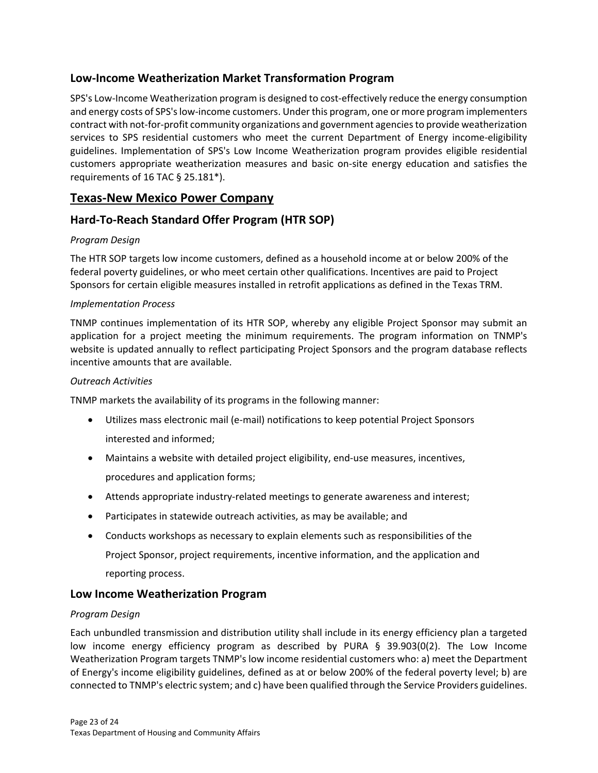## **Low-Income Weatherization Market Transformation Program**

SPS's Low-Income Weatherization program is designed to cost-effectively reduce the energy consumption and energy costs of SPS's low-income customers. Under this program, one or more program implementers contract with not-for-profit community organizations and government agencies to provide weatherization services to SPS residential customers who meet the current Department of Energy income-eligibility guidelines. Implementation of SPS's Low Income Weatherization program provides eligible residential customers appropriate weatherization measures and basic on-site energy education and satisfies the requirements of 16 TAC § 25.181\*).

# **Texas-New Mexico Power Company**

# **Hard-To-Reach Standard Offer Program (HTR SOP)**

#### *Program Design*

The HTR SOP targets low income customers, defined as a household income at or below 200% of the federal poverty guidelines, or who meet certain other qualifications. Incentives are paid to Project Sponsors for certain eligible measures installed in retrofit applications as defined in the Texas TRM.

#### *Implementation Process*

TNMP continues implementation of its HTR SOP, whereby any eligible Project Sponsor may submit an application for a project meeting the minimum requirements. The program information on TNMP's website is updated annually to reflect participating Project Sponsors and the program database reflects incentive amounts that are available.

#### *Outreach Activities*

TNMP markets the availability of its programs in the following manner:

- Utilizes mass electronic mail (e-mail) notifications to keep potential Project Sponsors interested and informed;
- Maintains a website with detailed project eligibility, end-use measures, incentives, procedures and application forms;
- Attends appropriate industry-related meetings to generate awareness and interest;
- Participates in statewide outreach activities, as may be available; and
- Conducts workshops as necessary to explain elements such as responsibilities of the Project Sponsor, project requirements, incentive information, and the application and reporting process.

## **Low Income Weatherization Program**

#### *Program Design*

Each unbundled transmission and distribution utility shall include in its energy efficiency plan a targeted low income energy efficiency program as described by PURA  $\S$  39.903(0(2). The Low Income Weatherization Program targets TNMP's low income residential customers who: a) meet the Department of Energy's income eligibility guidelines, defined as at or below 200% of the federal poverty level; b) are connected to TNMP's electric system; and c) have been qualified through the Service Providers guidelines.